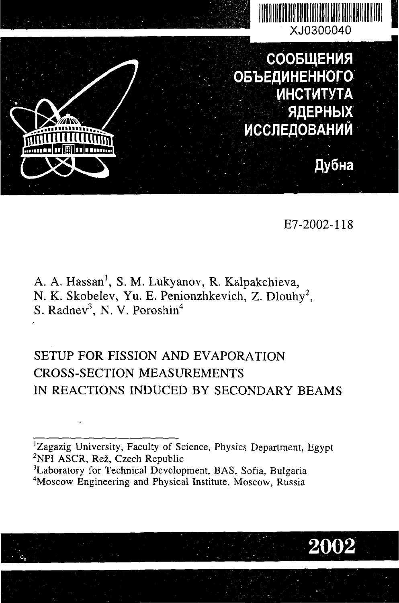

Е7-2002-118

A. A. Hassan<sup>1</sup>, S. M. Lukyanov, R. Kalpakchieva, N. K. Skobelev, Yu. E. Penionzhkevich, Z. Dlouhy<sup>2</sup>, S. Radnev<sup>3</sup>, N. V. Poroshin<sup>4</sup>

# SETUP FOR FISSION AND EVAPORATION CROSS-SECTION MEASUREMENTS IN REACTIONS INDUCED BY SECONDARY BEAMS

'Zagazig University, Faculty of Science, Physics Department, Egypt <sup>2</sup>NPI ASCR, Rez, Czech Republic

<sup>3</sup>Laboratory for Technical Development, BAS, Sofia, Bulgaria <sup>4</sup>Moscow Engineering and Physical Institute, Moscow, Russia

# **2002**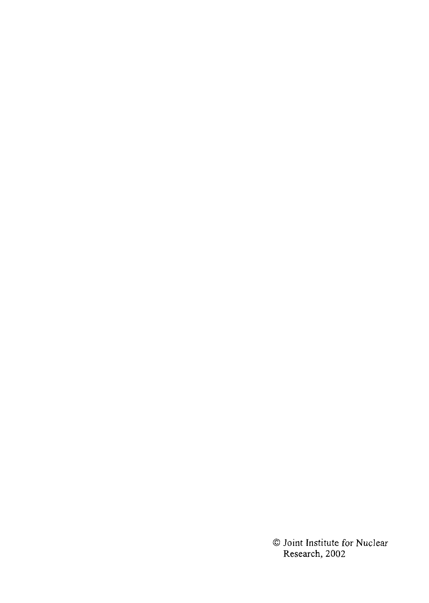1 Joint Institute for Nuclear Research, 2002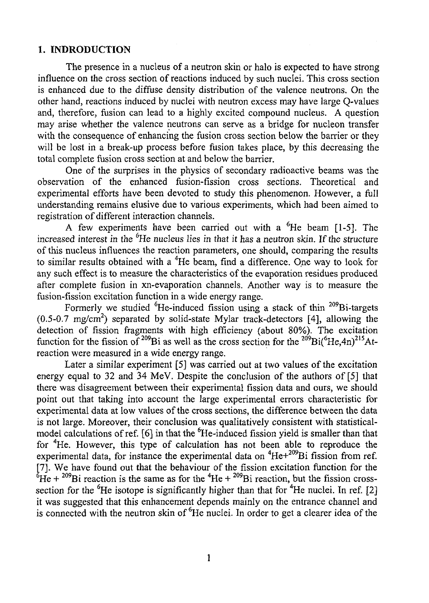#### **1. INDRODUCTION**

The presence in a nucleus of a neutron skin or halo is expected to have strong influence on the cross section of reactions induced by such nuclei. This cross section is enhanced due to the diffuse density distribution of the valence neutrons. On the other hand, reactions induced by nuclei with neutron excess may have large Q-values and, therefore, fusion can lead to a highly excited compound nucleus. A question may arise whether the valence neutrons can serve as a bridge for nucleon transfer with the consequence of enhancing the fusion cross section below the barrier or they will be lost in a break-up process before fusion takes place, by this decreasing the total complete fusion cross section at and below the barrier.

One of the surprises in the physics of secondary radioactive beams was the observation of the enhanced fusion-fission cross sections. Theoretical and experimental efforts have been devoted to study this phenomenon. However, a full understanding remains elusive due to various experiments, which had been aimed to registration of different interaction channels.

A few experiments have been carried out with a  ${}^{6}$ He beam [1-5]. The increased interest in the <sup>6</sup>He nucleus lies in that it has a neutron skin. If the structure of this nucleus influences the reaction parameters, one should, comparing the results to similar results obtained with a  ${}^{4}$ He beam, find a difference. One way to look for any such effect is to measure the characteristics of the evaporation residues produced after complete fusion in xn-evaporation channels. Another way is to measure the fusion-fission excitation function in a wide energy range.

Formerly we studied <sup>6</sup>He-induced fission using a stack of thin <sup>209</sup>Bi-targets (0.5-0.7 mg/cm<sup>2</sup>) separated by solid-state Mylar track-detectors [4], allowing the detection of fission fragments with high efficiency (about 80%). The excitation function for the fission of <sup>209</sup>Bi as well as the cross section for the <sup>209</sup>Bi(<sup>6</sup>He,4n)<sup>215</sup>Atreaction were measured in a wide energy range.

Later a similar experiment [5] was carried out at two values of the excitation energy equal to 32 and 34 MeV. Despite the conclusion of the authors of [5] that there was disagreement between their experimental fission data and ours, we should point out that taking into account the large experimental errors characteristic for experimental data at low values of the cross sections, the difference between the data is not large. Moreover, their conclusion was qualitatively consistent with statisticalmodel calculations of ref. [6] in that the <sup>6</sup>He-induced fission yield is smaller than that for "He. However, this type of calculation has not been able to reproduce the experimental data, for instance the experimental data on <sup>4</sup>He+<sup>209</sup>Bi fission from ref. [7]. We have found out that the behaviour of the fission excitation function for the  ${}^{6}$ He + <sup>209</sup>Bi reaction is the same as for the <sup>4</sup>He + <sup>209</sup>Bi reaction, but the fission crosssection for the <sup>6</sup>He isotope is significantly higher than that for <sup>4</sup>He nuclei. In ref. [2] it was suggested that this enhancement depends mainly on the entrance channel and is connected with the neutron skin of <sup>6</sup>He nuclei. In order to get a clearer idea of the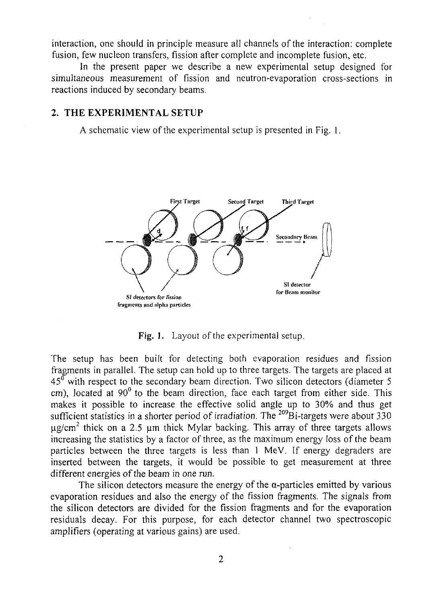interaction, one should in principle measure all channels of the interaction: complete fusion, few nucleon transfers, fission after complete and incomplete fusion, etc.

In the present paper we describe a new experimental setup designed for simultaneous measurement of fission and neutron-evaporation cross-sections in reactions induced by secondary beams.

#### **2. THE EXPERIMENTAL SETUP**

A schematic view of the experimental setup is presented in Fig. 1.



Fig. 1. Layout of the experimental setup.

The setup has been built for detecting both evaporation residues and fission fragments in parallel. The setup can hold up to three targets. The targets are placed at  $45<sup>6</sup>$  with respect to the secondary beam direction. Two silicon detectors (diameter 5 cm), located at  $90^{\circ}$  to the beam direction, face each target from either side. This makes it possible to increase the effective solid angle up to 30% and thus get sufficient statistics in a shorter period of irradiation. The <sup>209</sup>Bi-targets were about 330  $\mu$ g/cm $^2$  thick on a 2.5  $\mu$ m thick Mylar backing. This array of three targets allows increasing the statistics by a factor of three, as the maximum energy loss of the beam particles between the three targets is less than 1 MeV. If energy degraders are inserted between the targets, it would be possible to get measurement at three different energies of the beam in one run.

The silicon detectors measure the energy of the  $\alpha$ -particles emitted by various evaporation residues and also the energy of the fission fragments. The signals from the silicon detectors are divided for the fission fragments and for the evaporation residuals decay. For this purpose, for each detector channel two spectroscopic amplifiers (operating at various gains) are used.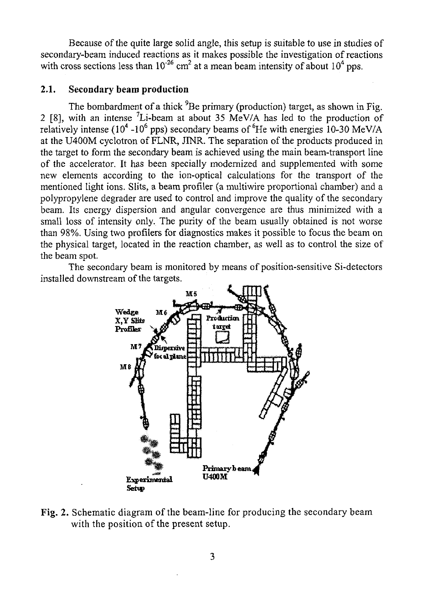Because of the quite large solid angle, this setup is suitable to use in studies of secondary-beam induced reactions as it makes possible the investigation of reactions with cross sections less than  $10^{-26}$  cm<sup>2</sup> at a mean beam intensity of about  $10^4$  pps.

# **2.1. Secondary beam production**

The bombardment of a thick <sup>9</sup>Be primary (production) target, as shown in Fig. 2 [8], with an intense  ${}^{7}$ Li-beam at about 35 MeV/A has led to the production of relatively intense (10<sup>4</sup> -10<sup>6</sup> pps) secondary beams of <sup>6</sup>He with energies 10-30 MeV/A at the U400M cyclotron of FLNR, JINR. The separation of the products produced in the target to form the secondary beam is achieved using the main beam-transport line of the accelerator. It has been specially modernized and supplemented with some new elements according to the ion-optical calculations for the transport of the mentioned light ions. Slits, a beam profiler (a multiwire proportional chamber) and a polypropylene degrader are used to control and improve the quality of the secondary beam. Its energy dispersion and angular convergence are thus minimized with a small loss of intensity only. The purity of the beam usually obtained is not worse than 98%. Using two profilers for diagnostics makes it possible to focus the beam on the physical target, located in the reaction chamber, as well as to control the size of the beam spot.

The secondary beam is monitored by means of position-sensitive Si-detectors installed downstream of the targets.



Fig. 2. Schematic diagram of the beam-line for producing the secondary beam with the position of the present setup.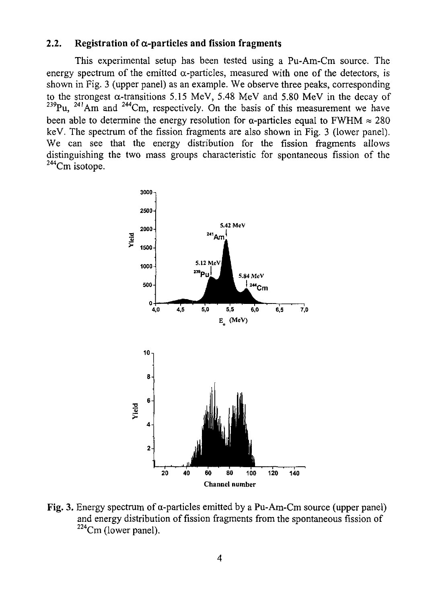# 2.2. **Registration of** a-particles **and fission fragments**

This experimental setup has been tested using a Pu-Am-Cm source. The energy spectrum of the emitted  $\alpha$ -particles, measured with one of the detectors, is shown in Fig. 3 (upper panel) as an example. We observe three peaks, corresponding to the strongest  $\alpha$ -transitions 5.15 MeV, 5.48 MeV and 5.80 MeV in the decay of  $^{239}$ Pu,  $^{241}$ Am and  $^{244}$ Cm, respectively. On the basis of this measurement we have been able to determine the energy resolution for  $\alpha$ -particles equal to FWHM  $\approx 280$ keV. The spectrum of the fission fragments are also shown in Fig. 3 (lower panel). We can see that the energy distribution for the fission fragments allows distinguishing the two mass groups characteristic for spontaneous fission of the <sup>244</sup>Cm isotope.



Fig. 3. Energy spectrum of  $\alpha$ -particles emitted by a Pu-Am-Cm source (upper panel) and energy distribution of fission fragments from the spontaneous fission of  $224$ Cm (lower panel).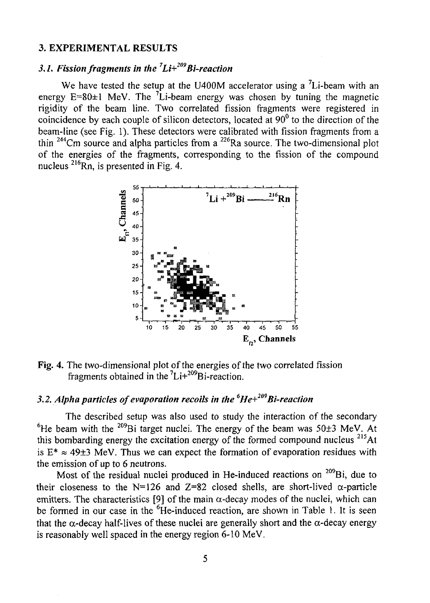#### **3. EXPERIMENTAL RESULTS**

# *3.1. Fission fragments in the<sup>7</sup>Li+2l>9Bi-reaction*

We have tested the setup at the U400M accelerator using a <sup>7</sup>Li-beam with an energy  $E=80\pm1$  MeV. The <sup>7</sup>Li-beam energy was chosen by tuning the magnetic rigidity of the beam line. Two correlated fission fragments were registered in coincidence by each couple of silicon detectors, located at 90° to the direction of the beam-line (see Fig. 1). These detectors were calibrated with fission fragments from a thin <sup>244</sup>Cm source and alpha particles from a <sup>226</sup>Ra source. The two-dimensional plo of the energies of the fragments, corresponding to the fission of the compound nucleus <sup>216</sup>Rn, is presented in Fig. 4.





# *3.2. Alpha particles of evaporation recoils in the<sup>6</sup>He+<sup>209</sup>Bi-reaction*

The described setup was also used to study the interaction of the secondary <sup>6</sup>He beam with the <sup>209</sup>Bi target nuclei. The energy of the beam was 50 $\pm$ 3 MeV. At this bombarding energy the excitation energy of the formed compound nucleus <sup>215</sup>At is  $E^* \approx 49\pm 3$  MeV. Thus we can expect the formation of evaporation residues with the emission of up to 6 neutrons.

Most of the residual nuclei produced in He-induced reactions on <sup>209</sup>Bi, due to their closeness to the N=126 and Z=82 closed shells, are short-lived  $\alpha$ -particle emitters. The characteristics [9] of the main  $\alpha$ -decay modes of the nuclei, which can be formed in our case in the <sup>6</sup>He-induced reaction, are shown in Table 1. It is seer that the  $\alpha$ -decay half-lives of these nuclei are generally short and the  $\alpha$ -decay energy is reasonably well spaced in the energy region 6-10 MeV.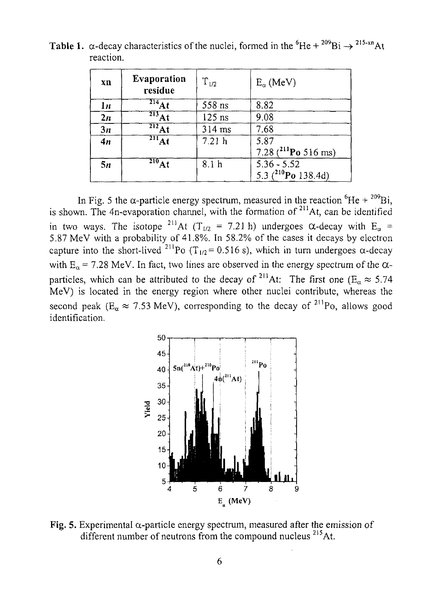| xn | Evaporation<br>residue       | $T_{1/2}$        | $E_{\alpha}$ (MeV)                       |
|----|------------------------------|------------------|------------------------------------------|
| ln | $^{214}$ At                  | 558 ns           | 8.82                                     |
| 2n | $\overline{^{213}\text{At}}$ | $125$ ns         | 9.08                                     |
| 3n | $\overline{^{212}At}$        | $314 \text{ ms}$ | 7.68                                     |
| 4n | $\overline{^{211}}$ At       | 7.21h            | 5.87<br>7.28 $(^{211}$ Po 516 ms)        |
| 5n | $\overline{^{210}}\text{At}$ | 8.1 <sub>h</sub> | $5.36 - 5.52$<br>5.3 $(^{210}Po$ 138.4d) |

**Table 1.**  $\alpha$ -decay characteristics of the nuclei, formed in the  ${}^{6}$ He +  ${}^{209}$ Bi  $\rightarrow$   ${}^{215\cdot xn}$ A reaction.

In Fig. 5 the  $\alpha$ -particle energy spectrum, measured in the reaction  ${}^{6}$ He +  ${}^{209}$ Bi is shown. The 4n-evaporation channel, with the formation of  $^{211}$ At, can be identified in two ways. The isotope <sup>211</sup>At (T<sub>1/2</sub> = 7.21 h) undergoes  $\alpha$ -decay with E<sub> $\alpha$ </sub> = 5.87 MeV with a probability of 41.8%. In 58.2% of the cases it decays by electron capture into the short-lived <sup>211</sup>Po (T<sub>1/2</sub> = 0.516 s), which in turn undergoes  $\alpha$ -decay with  $E_{\alpha}$  = 7.28 MeV. In fact, two lines are observed in the energy spectrum of the  $\alpha$ particles, which can be attributed to the decay of <sup>211</sup>At: The first one ( $E_{\alpha} \approx 5.74$ MeV) is located in the energy region where other nuclei contribute, whereas the second peak ( $E_{\alpha} \approx 7.53$  MeV), corresponding to the decay of <sup>211</sup>Po, allows good identification.



Fig. 5. Experimental  $\alpha$ -particle energy spectrum, measured after the emission of different number of neutrons from the compound nucleus <sup>215</sup>At.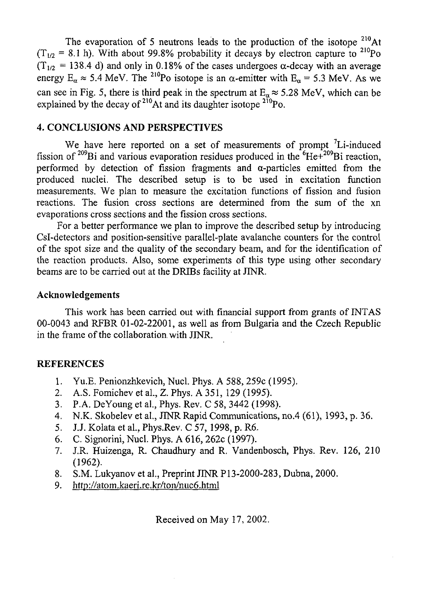The evaporation of 5 neutrons leads to the production of the isotope  $210$ At  $(T_{1/2} = 8.1 \text{ h})$ . With about 99.8% probability it decays by electron capture to <sup>210</sup>Pc  $(T_{1/2} = 138.4$  d) and only in 0.18% of the cases undergoes  $\alpha$ -decay with an average energy  $E_{\alpha} \approx 5.4$  MeV. The <sup>210</sup>Po isotope is an  $\alpha$ -emitter with  $E_{\alpha} = 5.3$  MeV. As we can see in Fig. 5, there is third peak in the spectrum at  $E_{\alpha} \approx 5.28$  MeV, which can be explained by the decay of <sup>210</sup>At and its daughter isotope <sup>210</sup>Po

# **4. CONCLUSIONS AND PERSPECTIVES**

We have here reported on a set of measurements of prompt <sup>7</sup>Li-induced fission of <sup>209</sup>Bi and various evaporation residues produced in the <sup>6</sup>He+<sup>209</sup>Bi reaction performed by detection of fission fragments and  $\alpha$ -particles emitted from the produced nuclei. The described setup is to be used in excitation function measurements. We plan to measure the excitation functions of fission and fusion reactions. The fusion cross sections are determined from the sum of the xn evaporations cross sections and the fission cross sections.

For a better performance we plan to improve the described setup by introducing Csl-detectors and position-sensitive parallel-plate avalanche counters for the control of the spot size and the quality of the secondary beam, and for the identification of the reaction products. Also, some experiments of this type using other secondary beams are to be carried out at the DRIBs facility at JINR.

# **Acknowledgements**

This work has been carried out with financial support from grants of INT AS 00-0043 and RFBR 01-02-22001, as well as from Bulgaria and the Czech Republic in the frame of the collaboration with JINR.

# **REFERENCES**

- 1. Yu.E. Penionzhkevich, Nucl. Phys. A 588,259c (1995).
- 2. A.S. Fomichev et al, Z. Phys. A 351, 129 (1995).
- 3. P.A. DeYoung et al., Phys. Rev. С 58, 3442 (1998).
- 4. N.K. Skobelev et al., JINR Rapid Communications, no.4 (61), 1993, p. 36.
- 5. J.J. Kolata et al., Phys.Rev. С 57, 1998, p. R6.
- 6. C. Signorini, Nucl. Phys. A 616,262c (1997).
- 7. J.R. Huizenga, R. Chaudhury and R. Vandenbosch, Phys. Rev. 126, 210 (1962).
- 8. S.M. Lukyanov et al., Preprint JINR P13-2000-283, Dubna, 2000.
- 9. http://atom.kaeri.re.kr/ton/nuc6.html

Received on May 17, 2002.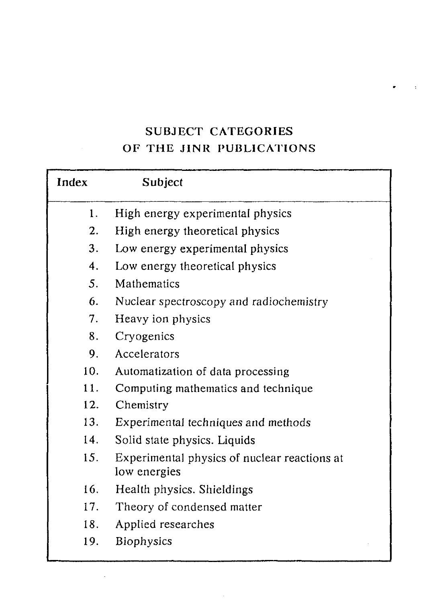# **SUBJECT CATEGORIES OF THE JINR PUBLICATIONS**

| Index | Subject                                                      |  |
|-------|--------------------------------------------------------------|--|
| 1.    | High energy experimental physics                             |  |
| 2.    | High energy theoretical physics                              |  |
| 3.    | Low energy experimental physics                              |  |
| 4.    | Low energy theoretical physics                               |  |
| 5.    | Mathematics                                                  |  |
| 6.    | Nuclear spectroscopy and radiochemistry                      |  |
| 7.    | Heavy ion physics                                            |  |
| 8.    | Cryogenics                                                   |  |
| 9.    | Accelerators                                                 |  |
| 10.   | Automatization of data processing                            |  |
| 11.   | Computing mathematics and technique                          |  |
|       | 12. Chemistry                                                |  |
| 13.   | Experimental techniques and methods                          |  |
| 14.   | Solid state physics. Liquids                                 |  |
| 15.   | Experimental physics of nuclear reactions at<br>low energies |  |
| 16.   | Health physics. Shieldings                                   |  |
| 17.   | Theory of condensed matter                                   |  |
| 18.   | Applied researches                                           |  |
| 19.   | Biophysics                                                   |  |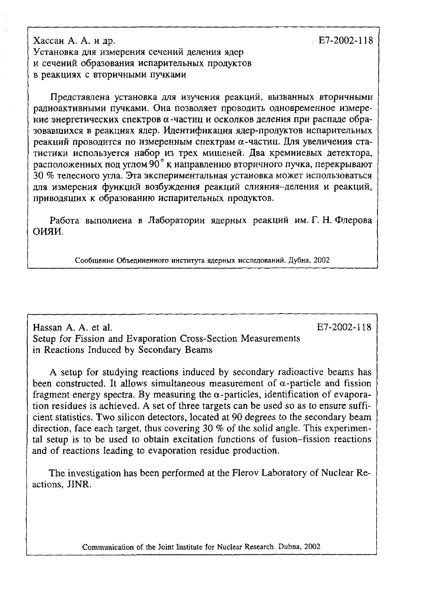Хассан А. А. и др. Е7-2002-118 Установка для измерения сечений деления ядер и сечений образования испарительных продуктов в реакциях с вторичными пучками

Представлена установка для изучения реакций, вызванных вторичными радиоактивными пучками. Она позволяет проводить одновременное измерение энергетических спектров а -частиц и осколков деления при распаде образовавшихся в реакциях ядер. Идентификация ядер-продуктов испарительных реакций проводится по измеренным спектрам а-частиц. Для увеличения статистики используется набор из трех мишеней. Два кремниевых детектора, расположенных под углом 90° к направлению вторичного пучка, перекрывают 30 % телесного угла. Эта экспериментальная установка может использоваться для измерения функций возбуждения реакций слияния-деления и реакций, приводящих к образованию испарительных продуктов.

Работа выполнена в Лаборатории ядерных реакций им. Г. Н. Флерова ОИЯИ.

Сообщение Объединенного института ядерных исследований. Дубна, 2002

Hassan A. A. et al. E7-2002-118 Setup for Fission and Evaporation Cross-Section Measurements in Reactions Induced by Secondary Beams

A setup for studying reactions induced by secondary radioactive beams has been constructed. It allows simultaneous measurement of  $\alpha$ -particle and fission fragment energy spectra. By measuring the  $\alpha$ -particles, identification of evaporation residues is achieved. A set of three targets can be used so as to ensure sufficient statistics. Two silicon detectors, located at 90 degrees to the secondary beam direction, face each target, thus covering 30 % of the solid angle. This experimental setup is to be used to obtain excitation functions of fusion-fission reactions and of reactions leading to evaporation residue production.

The investigation has been performed at the Flerov Laboratory of Nuclear Reactions, JINR.

Communication of the Joint Institute for Nuclear Research. Dubna, 2002